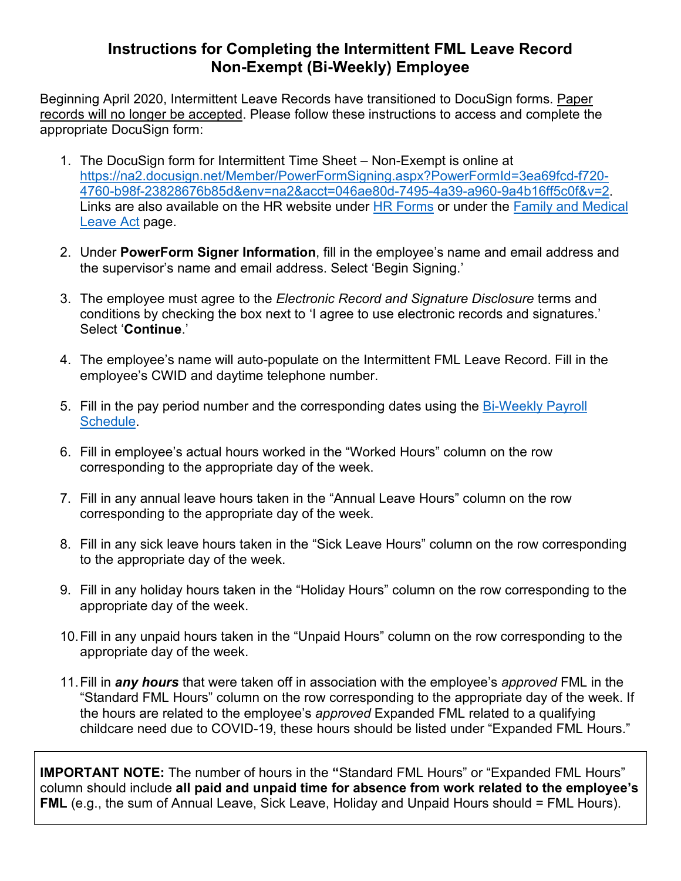## **Instructions for Completing the Intermittent FML Leave Record Non-Exempt (Bi-Weekly) Employee**

Beginning April 2020, Intermittent Leave Records have transitioned to DocuSign forms. Paper records will no longer be accepted. Please follow these instructions to access and complete the appropriate DocuSign form:

- 1. The DocuSign form for Intermittent Time Sheet Non-Exempt is online at [https://na2.docusign.net/Member/PowerFormSigning.aspx?PowerFormId=3ea69fcd-f720-](https://na2.docusign.net/Member/PowerFormSigning.aspx?PowerFormId=3ea69fcd-f720-4760-b98f-23828676b85d&env=na2&acct=046ae80d-7495-4a39-a960-9a4b16ff5c0f&v=2) [4760-b98f-23828676b85d&env=na2&acct=046ae80d-7495-4a39-a960-9a4b16ff5c0f&v=2.](https://na2.docusign.net/Member/PowerFormSigning.aspx?PowerFormId=3ea69fcd-f720-4760-b98f-23828676b85d&env=na2&acct=046ae80d-7495-4a39-a960-9a4b16ff5c0f&v=2) Links are also available on the HR website under **HR Forms or under the Family and Medical** [Leave Act](https://hr.ua.edu/employee-resources/family-medical-leave-act) page.
- 2. Under **PowerForm Signer Information**, fill in the employee's name and email address and the supervisor's name and email address. Select 'Begin Signing.'
- 3. The employee must agree to the *Electronic Record and Signature Disclosure* terms and conditions by checking the box next to 'I agree to use electronic records and signatures.' Select '**Continue**.'
- 4. The employee's name will auto-populate on the Intermittent FML Leave Record. Fill in the employee's CWID and daytime telephone number.
- 5. Fill in the pay period number and the corresponding dates using the [Bi-Weekly Payroll](https://hr.ua.edu/payroll/payroll-schedules) [Schedule.](https://hr.ua.edu/payroll/payroll-schedules)
- 6. Fill in employee's actual hours worked in the "Worked Hours" column on the row corresponding to the appropriate day of the week.
- 7. Fill in any annual leave hours taken in the "Annual Leave Hours" column on the row corresponding to the appropriate day of the week.
- 8. Fill in any sick leave hours taken in the "Sick Leave Hours" column on the row corresponding to the appropriate day of the week.
- 9. Fill in any holiday hours taken in the "Holiday Hours" column on the row corresponding to the appropriate day of the week.
- 10.Fill in any unpaid hours taken in the "Unpaid Hours" column on the row corresponding to the appropriate day of the week.
- 11.Fill in *any hours* that were taken off in association with the employee's *approved* FML in the "Standard FML Hours" column on the row corresponding to the appropriate day of the week. If the hours are related to the employee's *approved* Expanded FML related to a qualifying childcare need due to COVID-19, these hours should be listed under "Expanded FML Hours."

**IMPORTANT NOTE:** The number of hours in the **"**Standard FML Hours" or "Expanded FML Hours" column should include **all paid and unpaid time for absence from work related to the employee's FML** (e.g., the sum of Annual Leave, Sick Leave, Holiday and Unpaid Hours should = FML Hours).